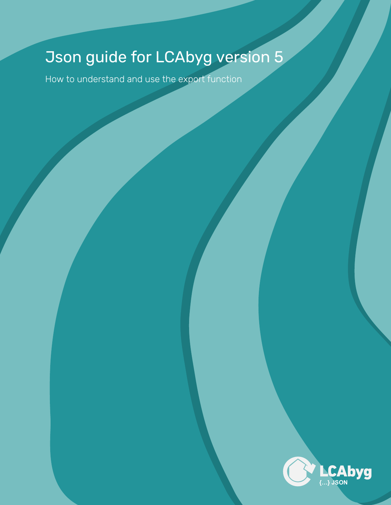# Json guide for LCAbyg version 5

How to understand and use the export function

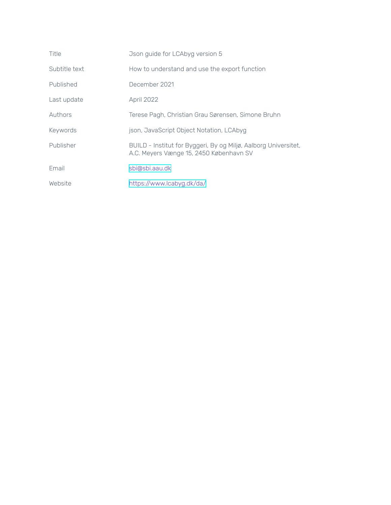| Title         | Json guide for LCAbyg version 5                                                                            |
|---------------|------------------------------------------------------------------------------------------------------------|
| Subtitle text | How to understand and use the export function                                                              |
| Published     | December 2021                                                                                              |
| Last update   | April 2022                                                                                                 |
| Authors       | Terese Pagh, Christian Grau Sørensen, Simone Bruhn                                                         |
| Keywords      | json, JavaScript Object Notation, LCAbyg                                                                   |
| Publisher     | BUILD - Institut for Byggeri, By og Miljø, Aalborg Universitet,<br>A.C. Meyers Vænge 15, 2450 København SV |
| Email         | sbi@sbi.aau.dk                                                                                             |
| Website       | https://www.lcabyg.dk/da/                                                                                  |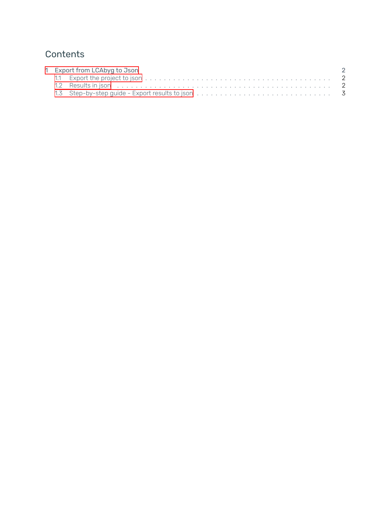# **Contents**

| 1 Export from LCAbyg to Json |  |  |
|------------------------------|--|--|
|                              |  |  |
|                              |  |  |
|                              |  |  |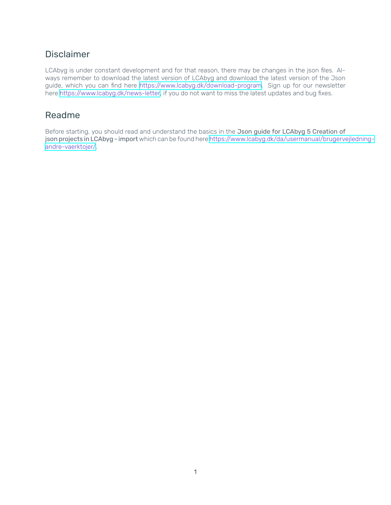## **Disclaimer**

LCAbyg is under constant development and for that reason, there may be changes in the json files. Always remember to download the latest version of LCAbyg and download the latest version of the Json guide, which you can find here [https://www.lcabyg.dk/download-program.](https://www.lcabyg.dk/download-program) Sign up for our newsletter here [https://www.lcabyg.dk/news-letter,](https://www.lcabyg.dk/news-letter) if you do not want to miss the latest updates and bug fixes.

## Readme

Before starting, you should read and understand the basics in the Json guide for LCAbyg 5 Creation of json projects in LCAbyg - import which can be found here [https://www.lcabyg.dk/da/usermanual/brugervejledning](https://www.lcabyg.dk/da/usermanual/brugervejledning-andre-vaerktojer/)[andre-vaerktojer/](https://www.lcabyg.dk/da/usermanual/brugervejledning-andre-vaerktojer/).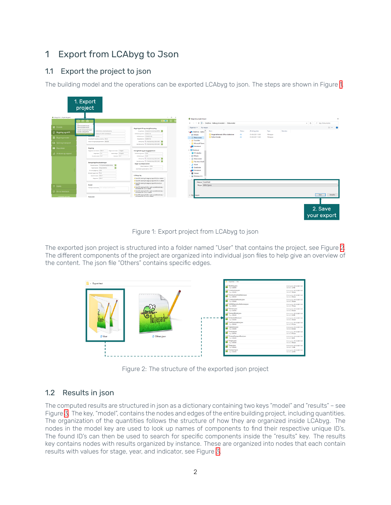## <span id="page-4-0"></span>1 Export from LCAbyg to Json

#### <span id="page-4-1"></span>1.1 Export the project to json

The building model and the operations can be exported LCAbyg to json. The steps are shown in Figure [1](#page-4-3).

<span id="page-4-3"></span>

|                                                 | ום סום                                                                                                                                                                             | $   \times$<br><b>AOD</b>                                                                                                            | <sup>®</sup> Eksporter projekt til json<br>← → v ↑ B > OneDrive - Aalborg Universitet > Dokumenter                                                                                                                                             | $\vee$ 0 $\lozenge$ SegiDokumenter |
|-------------------------------------------------|------------------------------------------------------------------------------------------------------------------------------------------------------------------------------------|--------------------------------------------------------------------------------------------------------------------------------------|------------------------------------------------------------------------------------------------------------------------------------------------------------------------------------------------------------------------------------------------|------------------------------------|
| <b>C</b> Forside                                | Opretrut projekt fra v 5.2<br>Oprat nut projekt the CSV                                                                                                                            | <b>Bygningsdrift og energiforsyning</b>                                                                                              | Organiser +<br>Ny mappe                                                                                                                                                                                                                        | $\mathbb{R}$ + 0                   |
| <b>G</b> Bygning og drift                       | Importer komponenter fra ison<br>Enfamiliefus, eksempeltygning<br>Highler LCAINg EFOW<br>Milayel 95, 9999 Frentifickner<br>BULD                                                    | Energiciasse: Energiramme lavenergi (BR18)<br>Diffullating varne: Distribut &<br>Driftsforbrug et: 17,5 kW/m <sup>h</sup> af år      | Type<br>Størrelse<br>Status<br>Ændringsdato<br>oneDrive - Asibor<br><b>Brugerdefinerede Office-skabeloner</b><br>$\bullet$<br>05-08-2021 15:08<br>Filmappe<br>> = Billeder<br>$\circ$<br><b>Python Scripts</b><br>05-08-2021 15:08<br>Filmappe |                                    |
| <b>B</b> Bygningsmodel<br>CD Spild og transport | Answeig for Ivery Nusuvclering BUILD<br>Version af Eugningsregiementet: 8R2218                                                                                                     | Doporteret et: 0 kW/m <sup>a</sup> är<br>Effortuning: (B) - Fremsletving 2020-2040<br>Varreforeshing (B - Fremsenving 2020-2040 E-   | > C Dokumenter<br>> < Favoritter<br>> Microsoft Teams                                                                                                                                                                                          |                                    |
| <b>III</b> Resultater                           | Bygning                                                                                                                                                                            |                                                                                                                                      | Skrivebord<br>$\vee$ $\Box$ Denne pc                                                                                                                                                                                                           |                                    |
| Analyse og rapport                              | Etageareal over terrain: 164 m <sup>2</sup><br>Dager over terrain: 1 stage(f)<br>Etapehalde Om<br>Keidenrügen Detapelt<br><b>Udeareal:</b> Om*<br>Orundens areal: 0 m <sup>2</sup> | Energiforbrug på byggepladsen<br>Driftsforug varne Gineh<br><b>Orifsforbrug et:</b> 0 kwh<br>Effortyring: 0 - Fremstruning 2020-2040 | > 3D-objekter<br>$\angle$ $\equiv$ Billeder<br>> <b>Dokumenter</b>                                                                                                                                                                             |                                    |
|                                                 | Beregningsforudsætninger                                                                                                                                                           | Varrietosysing (D - Fremskrivning 2020-2040 B)<br>Bygge- og anlægsmaskiner                                                           | > Filer ikke i OneD                                                                                                                                                                                                                            |                                    |
|                                                 | Berepingstype: Findig baredypighedstas.<br><b>Bygringstype:</b> Bolig-partelhus                                                                                                    | Diesel (maskiner) 0 Mar<br>Jord flyttet i gravemaskine: 0 m <sup>a</sup>                                                             | > h Musik<br>> U Overførster                                                                                                                                                                                                                   |                                    |
|                                                 | Arteritroglapsing: 2016<br>Betragtningsperiode: 50 år                                                                                                                              |                                                                                                                                      | <b>Q</b> Skrivebord<br><b>N</b> Videoer                                                                                                                                                                                                        |                                    |
|                                                 | Opametawal 164 m <sup>2</sup><br>Elepsonal: 184 m <sup>2</sup>                                                                                                                     | <b>LCAbyg log</b><br>A Fase EPS isolering til vægge og tage 035 (D) er udløbet                                                       | > Lill Windows (C:)                                                                                                                                                                                                                            |                                    |
|                                                 |                                                                                                                                                                                    | A Fese EPS isolaring til vægge og tage 035 (CK) er udløbet<br>A Fese EPS isolaring til vasgge og tage 035 (A1-A3) er                 | Finave: Export test                                                                                                                                                                                                                            |                                    |
| ? Hjælp                                         | Andet<br>Volatigers beskrivelse: Skrivyderigers beskrivelse har                                                                                                                    | udebet<br>A Fase DPS isolaring til lofter / gulve og katiderydervang /<br>terrandak 840 (D) er udløbet                               | Fitype: ISON (*.json)                                                                                                                                                                                                                          |                                    |
| O Giv os feedback                               |                                                                                                                                                                                    | A Fase DPS isolaring til lofter / gulve og katidenvdenvarg /<br>terramdark 040 (C4) er udløbet                                       |                                                                                                                                                                                                                                                |                                    |
|                                                 | Scenarios                                                                                                                                                                          | A Fase EPS isolaring til lofter / gulve og katiderydervarg /<br>terramdark 040 (A1-A3) er udløbet                                    | A Skju mapper                                                                                                                                                                                                                                  | Gem<br>Annuller                    |

Figure 1: Export project from LCAbyg to json

<span id="page-4-4"></span>The exported json project is structured into a folder named "User" that contains the project, see Figure [2.](#page-4-4) The different components of the project are organized into individual json files to help give an overview of the content. The json file "Others" contains specific edges.

| > Export test    |               | > Doortted > User<br>A Building json             | Andringsdate: 03-12-2021 11:03                         |
|------------------|---------------|--------------------------------------------------|--------------------------------------------------------|
|                  |               | $\frac{1}{2}$ Type ISON-RE                       | Stendor 124KB                                          |
|                  |               | $\sum_{i,j=1}^{n}$ Construction json             | Andringsdate: 03-12-2021 11:03<br>Standard 754 byte    |
|                  | œ             | $\frac{p}{1-p}$ Constructioninstallation.json    | Andringsdate: 00-12-2021 11:03<br>Starrelse: \$34 byte |
| m.               |               | A ConstructionProcess.json<br>Total SCALES       | Andringsdate: 03-12-2021 11:03<br>Stevelse: \$30 byte  |
|                  |               | $\sum_{\text{free}}$ DGNBOperationReference.json | Andringsdate: 03-12-2021 11:03<br>Starrelse: 197 byte  |
| ğ                |               | $E$ Element json                                 | Andringsdate: 03-12-2021 11:03<br>Sterrelse: 650 bute  |
| ķ.               |               | LY ElementModel.json<br>Type 150N-62             | Andringsdate: 03-12-2021 11:03                         |
|                  |               | $\sum_{i,j \in I(0)}$ EmbodiedRoot.json          | Andringsdate: 03-12-2021 11:03<br>Stevelse: 528 byte   |
|                  |               | <b>M</b> fuelConsumption json                    | Andringsdate: 03-12-2021 11:03<br>Sterrelse: 641 buts  |
| <b>Selection</b> |               | Deration json<br>Type ISON 44                    | Andringsdate: 03-12-2021 11:03<br>Stevelse: 620 byte   |
|                  |               | Product json                                     | Andringsdate: 03-12-2021 11:03<br>Stevelse: 667 bute   |
| <b>C</b> User    | C Others.json | FoductTransportRoot.json<br>Type BON-RE          | Andringsdate: 03-12-2021 11:03<br>Stevelse, MAKE       |
|                  |               | Project.json                                     | Andrinopolds: 03-12-2021 11:03<br>Stevelse: 528 byte   |
|                  |               | $\sum_{\gamma_{j}=\text{500-61}}^{\text{Stage}}$ | Andringsdate: 03-12-2021 11:03<br>Stevelse, 1,16 KB    |
|                  |               | Transportison<br>Type ISON-RE                    | Andringsdate: 03-12-2021 11:03<br>Stevelse: 148 MB     |
|                  |               |                                                  |                                                        |

Figure 2: The structure of the exported json project

### <span id="page-4-2"></span>1.2 Results in json

The computed results are structured in json as a dictionary containing two keys "model" and "results" – see Figure [3.](#page-5-1) The key, "model", contains the nodes and edges of the entire building project, including quantities. The organization of the quantities follows the structure of how they are organized inside LCAbyg. The nodes in the model key are used to look up names of components to find their respective unique ID's. The found ID's can then be used to search for specific components inside the "results" key. The results key contains nodes with results organized by instance. These are organized into nodes that each contain results with values for stage, year, and indicator, see Figure [3](#page-5-1).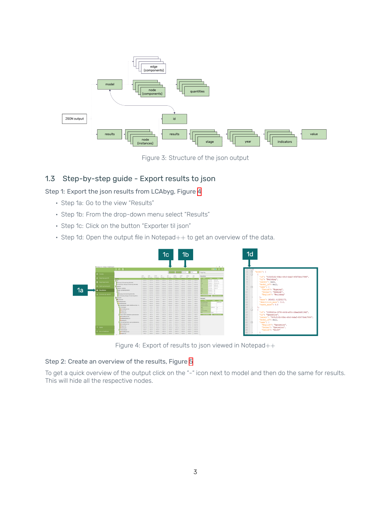<span id="page-5-1"></span>

Figure 3: Structure of the json output

#### <span id="page-5-0"></span>1.3 Step-by-step guide - Export results to json

Step 1: Export the json results from LCAbyg, Figure [4](#page-5-2)

- Step 1a: Go to the view "Results"
- Step 1b: From the drop-down menu select "Results"
- Step 1c: Click on the button "Exporter til json"
- <span id="page-5-2"></span>• Step 1d: Open the output file in Notepad++ to get an overview of the data.



Figure 4: Export of results to json viewed in Notepad++

#### Step 2: Create an overview of the results, Figure [5](#page-6-0)

To get a quick overview of the output click on the "-" icon next to model and then do the same for results. This will hide all the respective nodes.